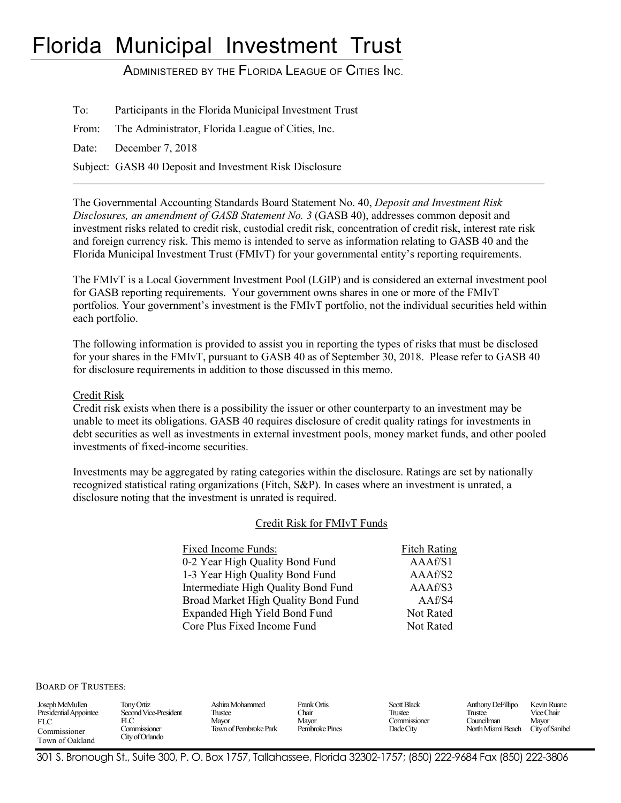# Florida Municipal Investment Trust

ADMINISTERED BY THE FLORIDA LEAGUE OF CITIES INC.

To: Participants in the Florida Municipal Investment Trust

From: The Administrator, Florida League of Cities, Inc.

Date: December 7, 2018

Subject: GASB 40 Deposit and Investment Risk Disclosure

The Governmental Accounting Standards Board Statement No. 40, *Deposit and Investment Risk Disclosures, an amendment of GASB Statement No. 3* (GASB 40), addresses common deposit and investment risks related to credit risk, custodial credit risk, concentration of credit risk, interest rate risk and foreign currency risk. This memo is intended to serve as information relating to GASB 40 and the Florida Municipal Investment Trust (FMIvT) for your governmental entity's reporting requirements.

 $\mathcal{L}_\mathcal{L} = \{ \mathcal{L}_\mathcal{L} = \{ \mathcal{L}_\mathcal{L} = \{ \mathcal{L}_\mathcal{L} = \{ \mathcal{L}_\mathcal{L} = \{ \mathcal{L}_\mathcal{L} = \{ \mathcal{L}_\mathcal{L} = \{ \mathcal{L}_\mathcal{L} = \{ \mathcal{L}_\mathcal{L} = \{ \mathcal{L}_\mathcal{L} = \{ \mathcal{L}_\mathcal{L} = \{ \mathcal{L}_\mathcal{L} = \{ \mathcal{L}_\mathcal{L} = \{ \mathcal{L}_\mathcal{L} = \{ \mathcal{L}_\mathcal{$ 

The FMIvT is a Local Government Investment Pool (LGIP) and is considered an external investment pool for GASB reporting requirements. Your government owns shares in one or more of the FMIvT portfolios. Your government's investment is the FMIvT portfolio, not the individual securities held within each portfolio.

The following information is provided to assist you in reporting the types of risks that must be disclosed for your shares in the FMIvT, pursuant to GASB 40 as of September 30, 2018. Please refer to GASB 40 for disclosure requirements in addition to those discussed in this memo.

Credit Risk

Credit risk exists when there is a possibility the issuer or other counterparty to an investment may be unable to meet its obligations. GASB 40 requires disclosure of credit quality ratings for investments in debt securities as well as investments in external investment pools, money market funds, and other pooled investments of fixed-income securities.

Investments may be aggregated by rating categories within the disclosure. Ratings are set by nationally recognized statistical rating organizations (Fitch, S&P). In cases where an investment is unrated, a disclosure noting that the investment is unrated is required.

#### Credit Risk for FMIvT Funds

| Fixed Income Funds:                 | <b>Fitch Rating</b> |
|-------------------------------------|---------------------|
| 0-2 Year High Quality Bond Fund     | AAAf/S1             |
| 1-3 Year High Quality Bond Fund     | AAAf/S2             |
| Intermediate High Quality Bond Fund | AAAf/S3             |
| Broad Market High Quality Bond Fund | AAf/S4              |
| Expanded High Yield Bond Fund       | Not Rated           |
| Core Plus Fixed Income Fund         | Not Rated           |

BOARD OF TRUSTEES:

| Joseph McMullen        | Tony Ortiz            | Ashira Mohammed       | Frank Ortis    | Scott Black  | Anthony DeFillipo | Kevin Ruane     |
|------------------------|-----------------------|-----------------------|----------------|--------------|-------------------|-----------------|
| Presidential Appointee | Second Vice-President | Trustee               | <b>Thair</b>   | Trustee      | Trustee           | Vice Chair      |
| <b>FLC</b>             | FLC                   | Mavor                 | Mavor          | Commissioner | . `ouncılman      | Mayor           |
| Commissioner           | Commissioner          | Town of Pembroke Park | Pembroke Pines | Dade City    | North Miami Beach | City of Sanibel |
| Town of Oakland        | City of Orlando       |                       |                |              |                   |                 |

301 S. Bronough St., Suite 300, P. O. Box 1757, Tallahassee, Florida 32302-1757; (850) 222-9684 Fax (850) 222-3806